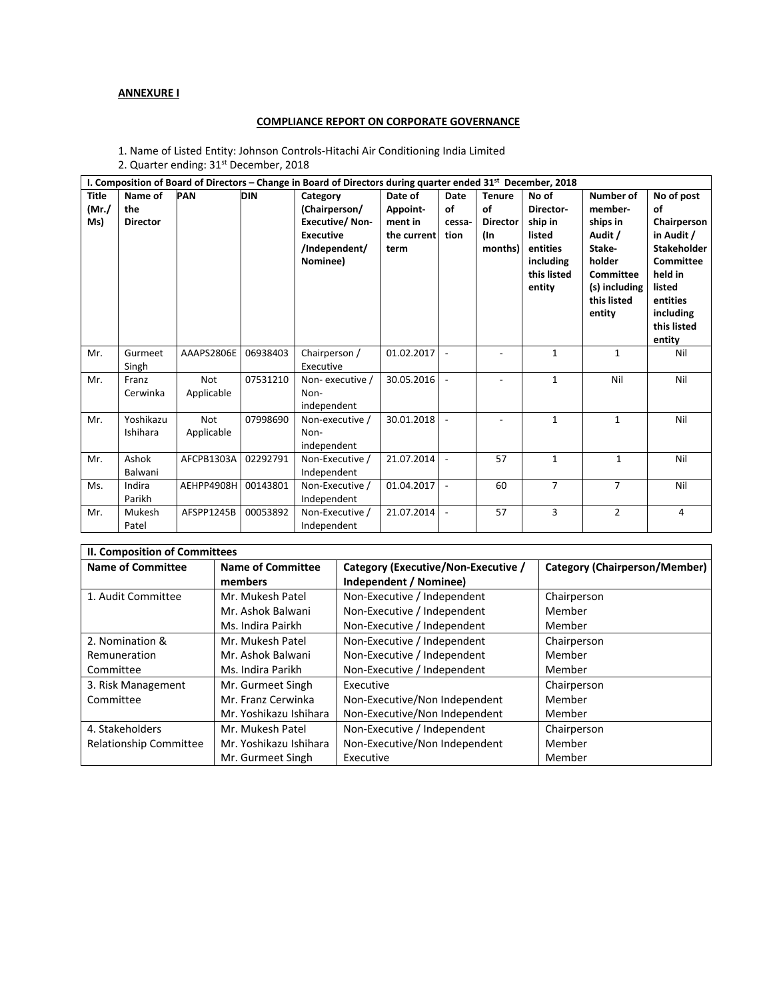## **ANNEXURE I**

## **COMPLIANCE REPORT ON CORPORATE GOVERNANCE**

1. Name of Listed Entity: Johnson Controls‐Hitachi Air Conditioning India Limited 2. Quarter ending: 31<sup>st</sup> December, 2018

|              | I. Composition of Board of Directors – Change in Board of Directors during quarter ended $31st$ December, 2018 |            |            |                       |             |                          |                 |                |                |                          |
|--------------|----------------------------------------------------------------------------------------------------------------|------------|------------|-----------------------|-------------|--------------------------|-----------------|----------------|----------------|--------------------------|
| <b>Title</b> | Name of                                                                                                        | PAN        | <b>DIN</b> | Category              | Date of     | Date                     | <b>Tenure</b>   | No of          | Number of      | No of post               |
| (Mr./        | the                                                                                                            |            |            | (Chairperson/         | Appoint-    | of                       | οf              | Director-      | member-        | οf                       |
| Ms)          | <b>Director</b>                                                                                                |            |            | <b>Executive/Non-</b> | ment in     | cessa-                   | <b>Director</b> | ship in        | ships in       | Chairperson              |
|              |                                                                                                                |            |            | <b>Executive</b>      | the current | tion                     | (In             | listed         | Audit /        | in Audit /               |
|              |                                                                                                                |            |            | /Independent/         | term        |                          | months)         | entities       | Stake-         | <b>Stakeholder</b>       |
|              |                                                                                                                |            |            | Nominee)              |             |                          |                 | including      | holder         | <b>Committee</b>         |
|              |                                                                                                                |            |            |                       |             |                          |                 | this listed    | Committee      | held in                  |
|              |                                                                                                                |            |            |                       |             |                          |                 | entity         | (s) including  | listed                   |
|              |                                                                                                                |            |            |                       |             |                          |                 |                | this listed    | entities                 |
|              |                                                                                                                |            |            |                       |             |                          |                 |                | entity         | including<br>this listed |
|              |                                                                                                                |            |            |                       |             |                          |                 |                |                | entity                   |
| Mr.          | Gurmeet                                                                                                        | AAAPS2806E | 06938403   | Chairperson /         | 01.02.2017  | $\overline{\phantom{a}}$ |                 | 1              | $\mathbf{1}$   | Nil                      |
|              | Singh                                                                                                          |            |            | Executive             |             |                          |                 |                |                |                          |
| Mr.          | Franz                                                                                                          | Not        | 07531210   | Non-executive /       | 30.05.2016  |                          |                 | $\mathbf{1}$   | Nil            | Nil                      |
|              | Cerwinka                                                                                                       | Applicable |            | Non-                  |             |                          |                 |                |                |                          |
|              |                                                                                                                |            |            | independent           |             |                          |                 |                |                |                          |
| Mr.          | Yoshikazu                                                                                                      | <b>Not</b> | 07998690   | Non-executive /       | 30.01.2018  |                          |                 | $\mathbf{1}$   | $\mathbf{1}$   | Nil                      |
|              | Ishihara                                                                                                       | Applicable |            | Non-                  |             |                          |                 |                |                |                          |
|              |                                                                                                                |            |            | independent           |             |                          |                 |                |                |                          |
| Mr.          | Ashok                                                                                                          | AFCPB1303A | 02292791   | Non-Executive /       | 21.07.2014  | $\overline{\phantom{a}}$ | 57              | $\mathbf{1}$   | $\mathbf{1}$   | Nil                      |
|              | Balwani                                                                                                        |            |            | Independent           |             |                          |                 |                |                |                          |
| Ms.          | Indira                                                                                                         | AEHPP4908H | 00143801   | Non-Executive /       | 01.04.2017  | $\overline{\phantom{a}}$ | 60              | $\overline{7}$ | $\overline{7}$ | Nil                      |
|              | Parikh                                                                                                         |            |            | Independent           |             |                          |                 |                |                |                          |
| Mr.          | Mukesh                                                                                                         | AFSPP1245B | 00053892   | Non-Executive /       | 21.07.2014  | $\overline{\phantom{a}}$ | 57              | 3              | $\overline{2}$ | 4                        |
|              | Patel                                                                                                          |            |            | Independent           |             |                          |                 |                |                |                          |
|              |                                                                                                                |            |            |                       |             |                          |                 |                |                |                          |

| <b>II. Composition of Committees</b> |                          |                                     |                               |  |  |
|--------------------------------------|--------------------------|-------------------------------------|-------------------------------|--|--|
| <b>Name of Committee</b>             | <b>Name of Committee</b> | Category (Executive/Non-Executive / | Category (Chairperson/Member) |  |  |
|                                      | members                  | Independent / Nominee)              |                               |  |  |
| 1. Audit Committee                   | Mr. Mukesh Patel         | Non-Executive / Independent         | Chairperson                   |  |  |
|                                      | Mr. Ashok Balwani        | Non-Executive / Independent         | Member                        |  |  |
|                                      | Ms. Indira Pairkh        | Non-Executive / Independent         | Member                        |  |  |
| 2. Nomination &                      | Mr. Mukesh Patel         | Non-Executive / Independent         | Chairperson                   |  |  |
| Remuneration                         | Mr. Ashok Balwani        | Non-Executive / Independent         | Member                        |  |  |
| Committee                            | Ms. Indira Parikh        | Non-Executive / Independent         | Member                        |  |  |
| 3. Risk Management                   | Mr. Gurmeet Singh        | Executive                           | Chairperson                   |  |  |
| Committee                            | Mr. Franz Cerwinka       | Non-Executive/Non Independent       | Member                        |  |  |
|                                      | Mr. Yoshikazu Ishihara   | Non-Executive/Non Independent       | Member                        |  |  |
| 4. Stakeholders                      | Mr. Mukesh Patel         | Non-Executive / Independent         | Chairperson                   |  |  |
| Relationship Committee               | Mr. Yoshikazu Ishihara   | Non-Executive/Non Independent       | Member                        |  |  |
|                                      | Mr. Gurmeet Singh        | Executive                           | Member                        |  |  |